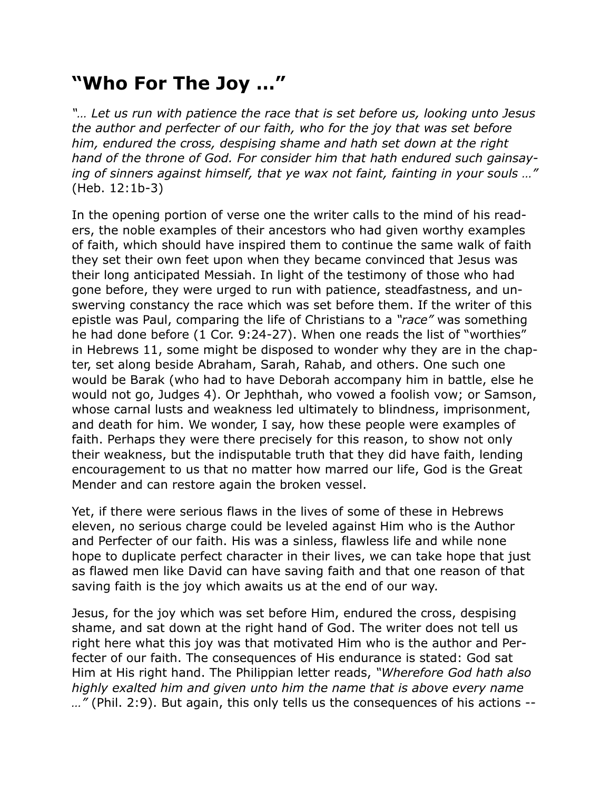## **"Who For The Joy …"**

*"… Let us run with patience the race that is set before us, looking unto Jesus the author and perfecter of our faith, who for the joy that was set before him, endured the cross, despising shame and hath set down at the right hand of the throne of God. For consider him that hath endured such gainsaying of sinners against himself, that ye wax not faint, fainting in your souls …"* (Heb. 12:1b-3)

In the opening portion of verse one the writer calls to the mind of his readers, the noble examples of their ancestors who had given worthy examples of faith, which should have inspired them to continue the same walk of faith they set their own feet upon when they became convinced that Jesus was their long anticipated Messiah. In light of the testimony of those who had gone before, they were urged to run with patience, steadfastness, and unswerving constancy the race which was set before them. If the writer of this epistle was Paul, comparing the life of Christians to a *"race"* was something he had done before (1 Cor. 9:24-27). When one reads the list of "worthies" in Hebrews 11, some might be disposed to wonder why they are in the chapter, set along beside Abraham, Sarah, Rahab, and others. One such one would be Barak (who had to have Deborah accompany him in battle, else he would not go, Judges 4). Or Jephthah, who vowed a foolish vow; or Samson, whose carnal lusts and weakness led ultimately to blindness, imprisonment, and death for him. We wonder, I say, how these people were examples of faith. Perhaps they were there precisely for this reason, to show not only their weakness, but the indisputable truth that they did have faith, lending encouragement to us that no matter how marred our life, God is the Great Mender and can restore again the broken vessel.

Yet, if there were serious flaws in the lives of some of these in Hebrews eleven, no serious charge could be leveled against Him who is the Author and Perfecter of our faith. His was a sinless, flawless life and while none hope to duplicate perfect character in their lives, we can take hope that just as flawed men like David can have saving faith and that one reason of that saving faith is the joy which awaits us at the end of our way.

Jesus, for the joy which was set before Him, endured the cross, despising shame, and sat down at the right hand of God. The writer does not tell us right here what this joy was that motivated Him who is the author and Perfecter of our faith. The consequences of His endurance is stated: God sat Him at His right hand. The Philippian letter reads, *"Wherefore God hath also highly exalted him and given unto him the name that is above every name …"* (Phil. 2:9). But again, this only tells us the consequences of his actions --